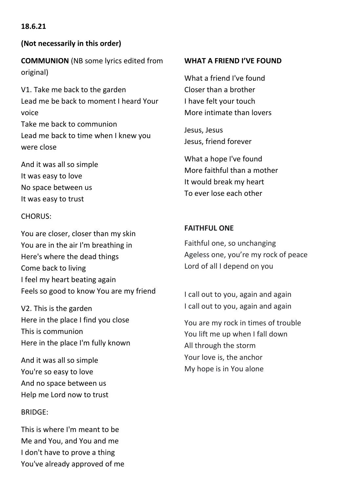# **18.6.21**

# **(Not necessarily in this order)**

**COMMUNION** (NB some lyrics edited from original)

V1. Take me back to the garden Lead me be back to moment I heard Your voice Take me back to communion

Lead me back to time when I knew you were close

And it was all so simple It was easy to love No space between us It was easy to trust

### CHORUS:

You are closer, closer than my skin You are in the air I'm breathing in Here's where the dead things Come back to living I feel my heart beating again Feels so good to know You are my friend

V2. This is the garden Here in the place I find you close This is communion Here in the place I'm fully known

And it was all so simple You're so easy to love And no space between us Help me Lord now to trust

### BRIDGE:

This is where I'm meant to be Me and You, and You and me I don't have to prove a thing You've already approved of me

#### **WHAT A FRIEND I'VE FOUND**

What a friend I've found Closer than a brother I have felt your touch More intimate than lovers

Jesus, Jesus Jesus, friend forever

What a hope I've found More faithful than a mother It would break my heart To ever lose each other

# **FAITHFUL ONE**

Faithful one, so unchanging Ageless one, you're my rock of peace Lord of all I depend on you

I call out to you, again and again I call out to you, again and again

You are my rock in times of trouble You lift me up when I fall down All through the storm Your love is, the anchor My hope is in You alone